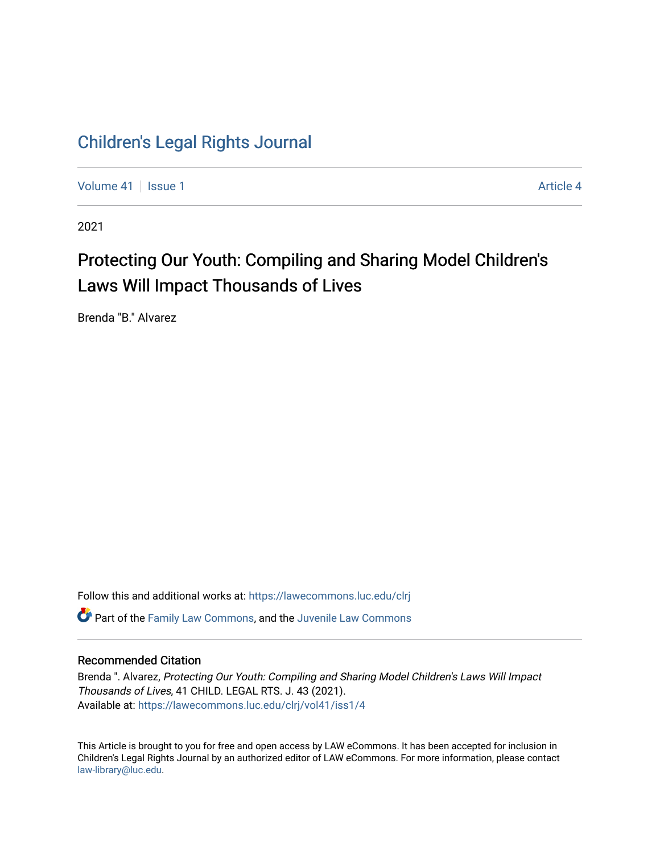# [Children's Legal Rights Journal](https://lawecommons.luc.edu/clrj)

[Volume 41](https://lawecommons.luc.edu/clrj/vol41) | [Issue 1](https://lawecommons.luc.edu/clrj/vol41/iss1) [Article 4](https://lawecommons.luc.edu/clrj/vol41/iss1/4) Article 4

2021

# Protecting Our Youth: Compiling and Sharing Model Children's Laws Will Impact Thousands of Lives

Brenda "B." Alvarez

Follow this and additional works at: [https://lawecommons.luc.edu/clrj](https://lawecommons.luc.edu/clrj?utm_source=lawecommons.luc.edu%2Fclrj%2Fvol41%2Fiss1%2F4&utm_medium=PDF&utm_campaign=PDFCoverPages) **C** Part of the [Family Law Commons,](http://network.bepress.com/hgg/discipline/602?utm_source=lawecommons.luc.edu%2Fclrj%2Fvol41%2Fiss1%2F4&utm_medium=PDF&utm_campaign=PDFCoverPages) and the Juvenile Law Commons

# Recommended Citation

Brenda ". Alvarez, Protecting Our Youth: Compiling and Sharing Model Children's Laws Will Impact Thousands of Lives, 41 CHILD. LEGAL RTS. J. 43 (2021). Available at: [https://lawecommons.luc.edu/clrj/vol41/iss1/4](https://lawecommons.luc.edu/clrj/vol41/iss1/4?utm_source=lawecommons.luc.edu%2Fclrj%2Fvol41%2Fiss1%2F4&utm_medium=PDF&utm_campaign=PDFCoverPages) 

This Article is brought to you for free and open access by LAW eCommons. It has been accepted for inclusion in Children's Legal Rights Journal by an authorized editor of LAW eCommons. For more information, please contact [law-library@luc.edu](mailto:law-library@luc.edu).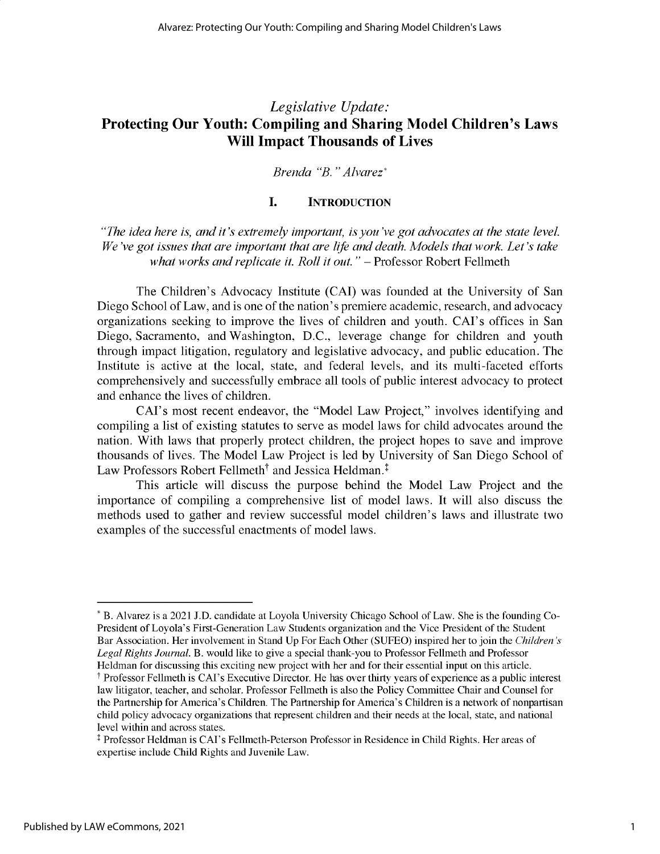# *Legislative Update:* **Protecting Our Youth: Compiling and Sharing Model Children's Laws Will Impact Thousands of Lives**

# *Brenda "B. "Alvarez\**

# I. **INTRODUCTION**

*"The idea here is, and it's extremely important, is you've got advocates at the state level. We've got issues that are important that are life and death. Models that work. Let's take* what works and replicate it. Roll it out." - Professor Robert Fellmeth

The Children's Advocacy Institute (CAI) was founded at the University of San Diego School of Law, and is one of the nation's premiere academic, research, and advocacy organizations seeking to improve the lives of children and youth. CAI's offices in San Diego, Sacramento, and Washington, D.C., leverage change for children and youth through impact litigation, regulatory and legislative advocacy, and public education. The Institute is active at the local, state, and federal levels, and its multi-faceted efforts comprehensively and successfully embrace all tools of public interest advocacy to protect and enhance the lives of children.

CAI's most recent endeavor, the "Model Law Project," involves identifying and compiling a list of existing statutes to serve as model laws for child advocates around the nation. With laws that properly protect children, the project hopes to save and improve thousands of lives. The Model Law Project is led by University of San Diego School of Law Professors Robert Fellmeth<sup>†</sup> and Jessica Heldman.<sup>†</sup>

This article will discuss the purpose behind the Model Law Project and the importance of compiling a comprehensive list of model laws. It will also discuss the methods used to gather and review successful model children's laws and illustrate two examples of the successful enactments of model laws.

<sup>\*</sup> B. Alvarez is a 2021 J.D. candidate at Loyola University Chicago School of Law. She is the founding Co-President of Loyola's First-Generation Law Students organization and the Vice President of the Student Bar Association. Her involvement in Stand Up For Each Other (SUFEO) inspired her to join the *Children's Legal Rights Journal.* B. would like to give a special thank-you to Professor Fellmeth and Professor Heldman for discussing this exciting new project with her and for their essential input on this article.

T Professor Fellmeth is CAI's Executive Director. He has over thirty years of experience as a public interest law litigator, teacher, and scholar. Professor Fellmeth is also the Policy Committee Chair and Counsel for the Partnership for America's Children. The Partnership for America's Children is a network of nonpartisan child policy advocacy organizations that represent children and their needs at the local, state, and national level within and across states.

<sup>\$</sup> Professor Heldman is CAI's Fellmeth-Peterson Professor in Residence in Child Rights. Her areas of expertise include Child Rights and Juvenile Law.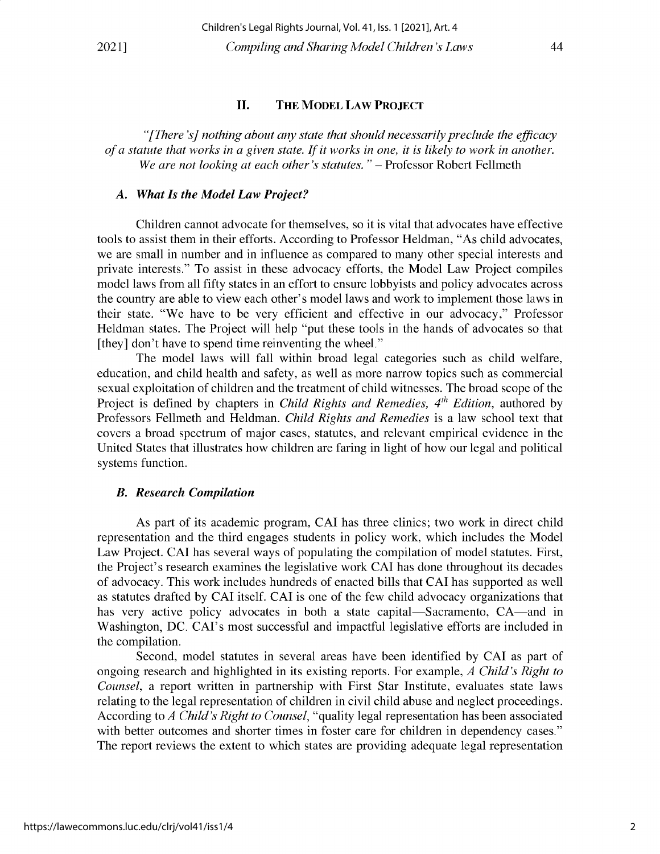#### **II. THE MODEL LAW PROJECT**

*"[There 's] nothing about any state that should necessarily preclude the efficacy of a statute that works in a given state. If it works in one, it is likely to work in another.* We are not looking at each other's statutes." - Professor Robert Fellmeth

#### *A. What Is the Model Law Project?*

Children cannot advocate for themselves, so it is vital that advocates have effective **tools to assist them in their efforts. According to Professor Heldman, "As child advocates, we are small in number and in influence as compared to many other special interests and private interests." To assist in these advocacy efforts, the Model Law Project compiles model laws from all fifty states in an effort to ensure lobbyists and policy advocates across the country are able to view each other's model laws and work to implement those laws in** their state. "We have to be very efficient and effective in our advocacy," Professor **Heldman states. The Project will help "put these tools in the hands of advocates so that [they] don't have to spend time reinventing the wheel."**

The model laws will fall within broad legal categories such as child welfare, **education, and child health and safety, as well as more narrow topics such as commercial sexual exploitation of children and the treatment of child witnesses. The broad scope of the** Project is defined by chapters in *Child Rights and Remedies*, 4<sup>th</sup> *Edition*, authored by **Professors Fellmeth and Heldman.** *Child Rights and Remedies* **is a law school text that covers a broad spectrum of major cases, statutes, and relevant empirical evidence in the United States that illustrates how children are faring in light of how our legal and political systems function.**

## *B. Research Compilation*

As part of its academic program, CAI has three clinics; two work in direct child **representation and the third engages students in policy work, which includes the Model** Law Project. CAI has several ways of populating the compilation of model statutes. First, **the Project's research examines the legislative work CAI has done throughout its decades** of advocacy. This work includes hundreds of enacted bills that CAI has supported as well as statutes drafted by CAI itself. CAI is one of the few child advocacy organizations that has very active policy advocates in both a state capital—Sacramento, CA—and in **Washington,** DC. CAI's **most successful and impactful legislative efforts are included in the compilation.**

Second, model statutes in several areas have been identified by CAI as part of ongoing research and highlighted in its existing reports. For example, *A Child's Right to Counsel,* a report written in partnership with First Star Institute, evaluates state laws **relating to the legal representation of children in civil child abuse and neglect proceedings.** According to *A Child's Right to Counsel,* "quality legal representation has been associated **with better outcomes and shorter times in foster care for children in dependency cases."** The report reviews the extent to which states are providing adequate legal representation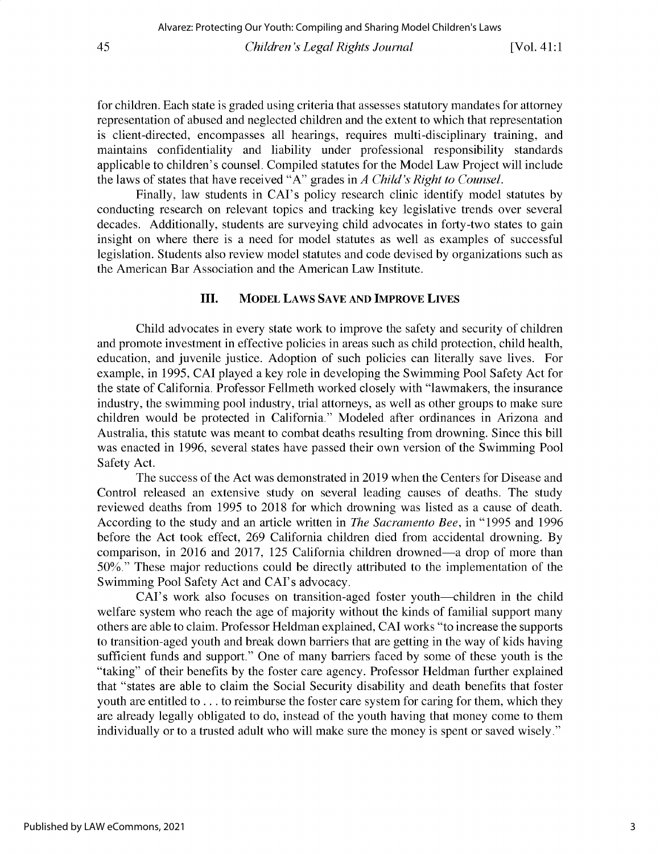for children. Each state is graded using criteria that assesses statutory mandates for attorney representation of abused and neglected children and the extent to which that representation is client-directed, encompasses all hearings, requires multi-disciplinary training, and maintains confidentiality and liability under professional responsibility standards applicable to children's counsel. Compiled statutes for the Model Law Project will include the laws of states that have received "A" grades in *A Child's Right to Counsel.*

Finally, law students in CAI's policy research clinic identify model statutes by conducting research on relevant topics and tracking key legislative trends over several decades. Additionally, students are surveying child advocates in forty-two states to gain insight on where there is a need for model statutes as well as examples of successful legislation. Students also review model statutes and code devised by organizations such as the American Bar Association and the American Law Institute.

# **III. MODEL** LAWS SAVE AND **IMPROVE LIVES**

Child advocates in every state work to improve the safety and security of children and promote investment in effective policies in areas such as child protection, child health, education, and juvenile justice. Adoption of such policies can literally save lives. For example, in *1995,* CAI played a key role in developing the Swimming Pool Safety Act for the state of California. Professor Fellmeth worked closely with "lawmakers, the insurance industry, the swimming pool industry, trial attorneys, as well as other groups to make sure children would be protected in California." Modeled after ordinances in Arizona and Australia, this statute was meant to combat deaths resulting from drowning. Since this bill was enacted in 1996, several states have passed their own version of the Swimming Pool Safety Act.

The success of the Act was demonstrated in 2019 when the Centers for Disease and Control released an extensive study on several leading causes of deaths. The study reviewed deaths from *1995* to 2018 for which drowning was listed as a cause of death. According to the study and an article written in *The Sacramento Bee,* in "1995 and 1996 before the Act took effect, 269 California children died from accidental drowning. By comparison, in 2016 and 2017, 125 California children drowned-a drop of more than **50%."** These major reductions could be directly attributed to the implementation of the Swimming Pool Safety Act and CAI's advocacy.

CAI's work also focuses on transition-aged foster youth—children in the child welfare system who reach the age of majority without the kinds of familial support many others are able to claim. Professor Heldman explained, CAI works "to increase the supports to transition-aged youth and break down barriers that are getting in the way of kids having sufficient funds and support." One of many barriers faced by some of these youth is the "taking" of their benefits by the foster care agency. Professor Heldman further explained that "states are able to claim the Social Security disability and death benefits that foster youth are entitled to ... to reimburse the foster care system for caring for them, which they are already legally obligated to do, instead of the youth having that money come to them individually or to a trusted adult who will make sure the money is spent or saved wisely."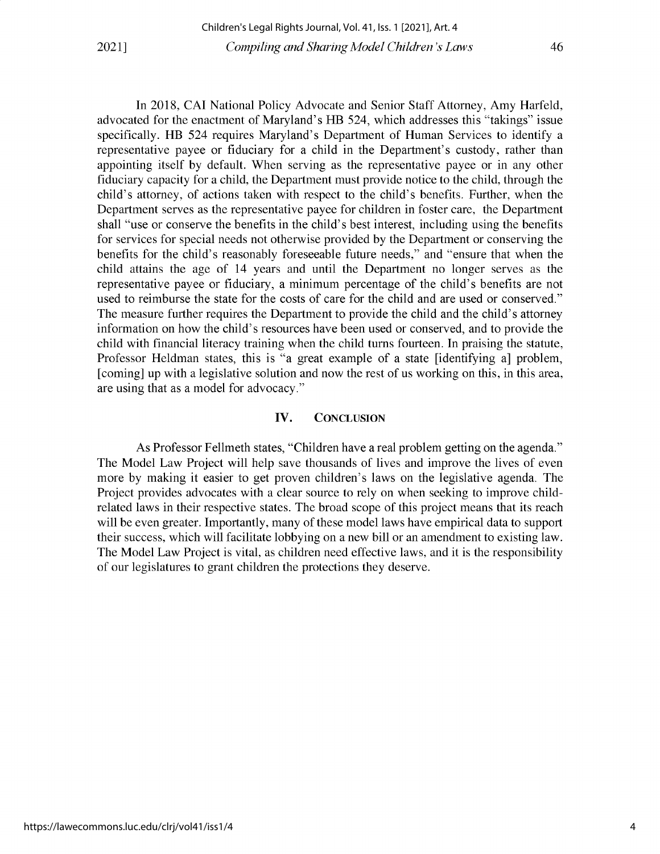In 2018, CAI National Policy Advocate and Senior Staff Attorney, Amy Harfeld, advocated for the enactment of Maryland's HB 524, which addresses this "takings" issue specifically. HB 524 requires Maryland's Department of Human Services to identify a representative payee or fiduciary for a child in the Department's custody, rather than appointing itself by default. When serving as the representative payee or in any other fiduciary capacity for a child, the Department must provide notice to the child, through the child's attorney, of actions taken with respect to the child's benefits. Further, when the Department serves as the representative payee for children in foster care, the Department shall "use or conserve the benefits in the child's best interest, including using the benefits for services for special needs not otherwise provided by the Department or conserving the benefits for the child's reasonably foreseeable future needs," and "ensure that when the child attains the age of 14 years and until the Department no longer serves as the representative payee or fiduciary, a minimum percentage of the child's benefits are not used to reimburse the state for the costs of care for the child and are used or conserved." The measure further requires the Department to provide the child and the child's attorney information on how the child's resources have been used or conserved, and to provide the child with financial literacy training when the child turns fourteen. In praising the statute, Professor Heldman states, this is "a great example of a state [identifying a] problem, [coming] up with a legislative solution and now the rest of us working on this, in this area, are using that as a model for advocacy."

## **IV.** CONCLUSION

As Professor Fellmeth states, "Children have a real problem getting on the agenda." The Model Law Project will help save thousands of lives and improve the lives of even more by making it easier to get proven children's laws on the legislative agenda. The Project provides advocates with a clear source to rely on when seeking to improve childrelated laws in their respective states. The broad scope of this project means that its reach will be even greater. Importantly, many of these model laws have empirical data to support their success, which will facilitate lobbying on a new bill or an amendment to existing law. The Model Law Project is vital, as children need effective laws, and it is the responsibility of our legislatures to grant children the protections they deserve.